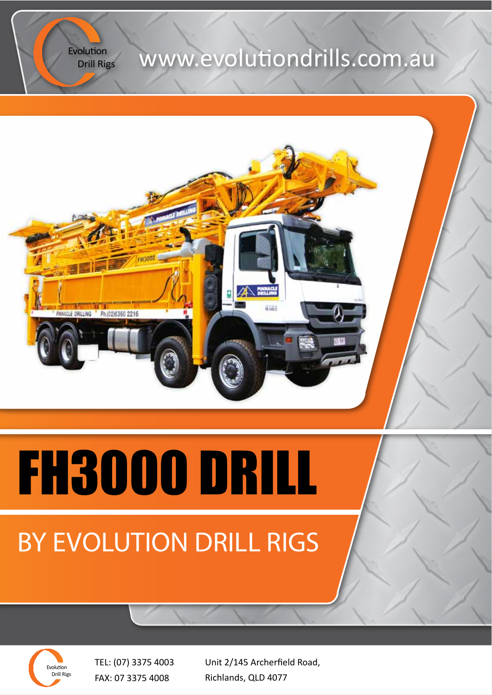Drill Rigs

## Evolution **WWW.evolutiondrills.com.au**



# FH3000 DRILL

# BY EVOLUTION DRILL RIGS

Evolution Drill Rigs

TEL: (07) 3375 4003 FAX: 07 3375 4008

Unit 2/145 Archerfield Road, Richlands, QLD 4077